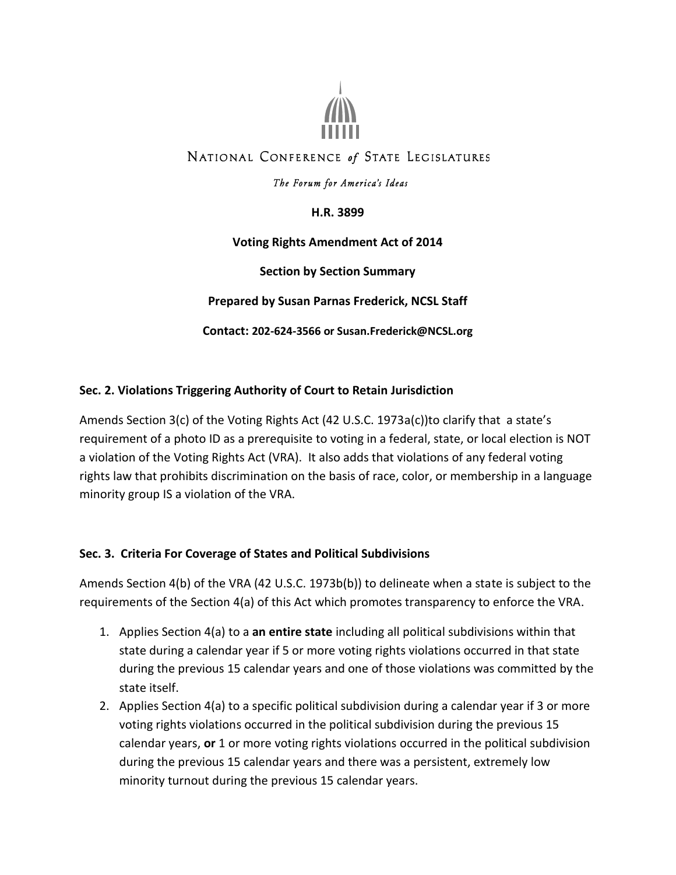

# NATIONAL CONFERENCE of STATE LEGISLATURES

### The Forum for America's Ideas

**H.R. 3899**

**Voting Rights Amendment Act of 2014**

**Section by Section Summary**

**Prepared by Susan Parnas Frederick, NCSL Staff**

**Contact: 202-624-3566 or Susan.Frederick@NCSL.org**

### **Sec. 2. Violations Triggering Authority of Court to Retain Jurisdiction**

Amends Section 3(c) of the Voting Rights Act (42 U.S.C. 1973a(c))to clarify that a state's requirement of a photo ID as a prerequisite to voting in a federal, state, or local election is NOT a violation of the Voting Rights Act (VRA). It also adds that violations of any federal voting rights law that prohibits discrimination on the basis of race, color, or membership in a language minority group IS a violation of the VRA.

### **Sec. 3. Criteria For Coverage of States and Political Subdivisions**

Amends Section 4(b) of the VRA (42 U.S.C. 1973b(b)) to delineate when a state is subject to the requirements of the Section 4(a) of this Act which promotes transparency to enforce the VRA.

- 1. Applies Section 4(a) to a **an entire state** including all political subdivisions within that state during a calendar year if 5 or more voting rights violations occurred in that state during the previous 15 calendar years and one of those violations was committed by the state itself.
- 2. Applies Section 4(a) to a specific political subdivision during a calendar year if 3 or more voting rights violations occurred in the political subdivision during the previous 15 calendar years, **or** 1 or more voting rights violations occurred in the political subdivision during the previous 15 calendar years and there was a persistent, extremely low minority turnout during the previous 15 calendar years.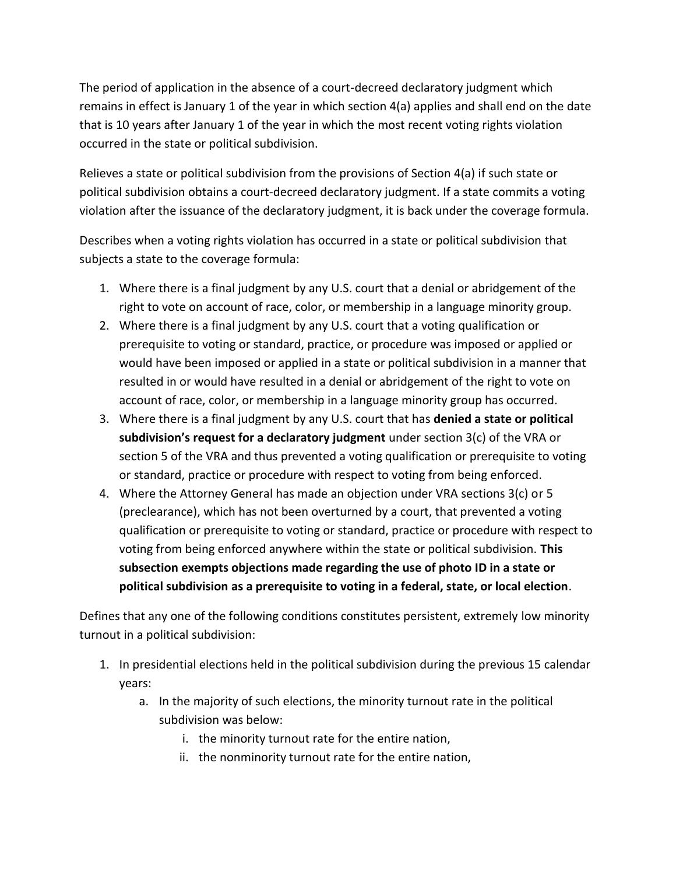The period of application in the absence of a court-decreed declaratory judgment which remains in effect is January 1 of the year in which section 4(a) applies and shall end on the date that is 10 years after January 1 of the year in which the most recent voting rights violation occurred in the state or political subdivision.

Relieves a state or political subdivision from the provisions of Section 4(a) if such state or political subdivision obtains a court-decreed declaratory judgment. If a state commits a voting violation after the issuance of the declaratory judgment, it is back under the coverage formula.

Describes when a voting rights violation has occurred in a state or political subdivision that subjects a state to the coverage formula:

- 1. Where there is a final judgment by any U.S. court that a denial or abridgement of the right to vote on account of race, color, or membership in a language minority group.
- 2. Where there is a final judgment by any U.S. court that a voting qualification or prerequisite to voting or standard, practice, or procedure was imposed or applied or would have been imposed or applied in a state or political subdivision in a manner that resulted in or would have resulted in a denial or abridgement of the right to vote on account of race, color, or membership in a language minority group has occurred.
- 3. Where there is a final judgment by any U.S. court that has **denied a state or political subdivision's request for a declaratory judgment** under section 3(c) of the VRA or section 5 of the VRA and thus prevented a voting qualification or prerequisite to voting or standard, practice or procedure with respect to voting from being enforced.
- 4. Where the Attorney General has made an objection under VRA sections 3(c) or 5 (preclearance), which has not been overturned by a court, that prevented a voting qualification or prerequisite to voting or standard, practice or procedure with respect to voting from being enforced anywhere within the state or political subdivision. **This subsection exempts objections made regarding the use of photo ID in a state or political subdivision as a prerequisite to voting in a federal, state, or local election**.

Defines that any one of the following conditions constitutes persistent, extremely low minority turnout in a political subdivision:

- 1. In presidential elections held in the political subdivision during the previous 15 calendar years:
	- a. In the majority of such elections, the minority turnout rate in the political subdivision was below:
		- i. the minority turnout rate for the entire nation,
		- ii. the nonminority turnout rate for the entire nation,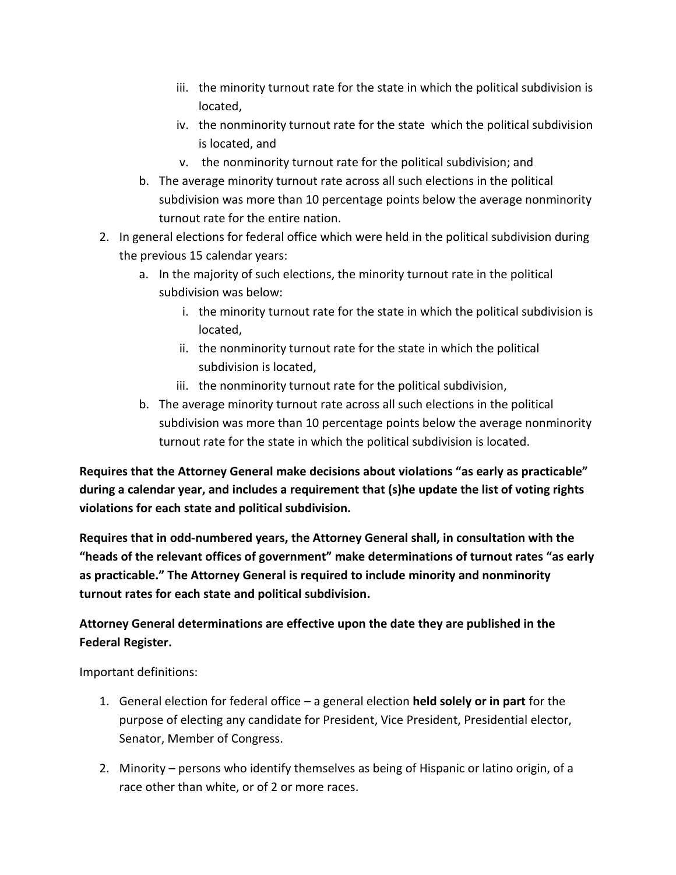- iii. the minority turnout rate for the state in which the political subdivision is located,
- iv. the nonminority turnout rate for the state which the political subdivision is located, and
- v. the nonminority turnout rate for the political subdivision; and
- b. The average minority turnout rate across all such elections in the political subdivision was more than 10 percentage points below the average nonminority turnout rate for the entire nation.
- 2. In general elections for federal office which were held in the political subdivision during the previous 15 calendar years:
	- a. In the majority of such elections, the minority turnout rate in the political subdivision was below:
		- i. the minority turnout rate for the state in which the political subdivision is located,
		- ii. the nonminority turnout rate for the state in which the political subdivision is located,
		- iii. the nonminority turnout rate for the political subdivision,
	- b. The average minority turnout rate across all such elections in the political subdivision was more than 10 percentage points below the average nonminority turnout rate for the state in which the political subdivision is located.

**Requires that the Attorney General make decisions about violations "as early as practicable" during a calendar year, and includes a requirement that (s)he update the list of voting rights violations for each state and political subdivision.**

**Requires that in odd-numbered years, the Attorney General shall, in consultation with the "heads of the relevant offices of government" make determinations of turnout rates "as early as practicable." The Attorney General is required to include minority and nonminority turnout rates for each state and political subdivision.**

# **Attorney General determinations are effective upon the date they are published in the Federal Register.**

Important definitions:

- 1. General election for federal office a general election **held solely or in part** for the purpose of electing any candidate for President, Vice President, Presidential elector, Senator, Member of Congress.
- 2. Minority persons who identify themselves as being of Hispanic or latino origin, of a race other than white, or of 2 or more races.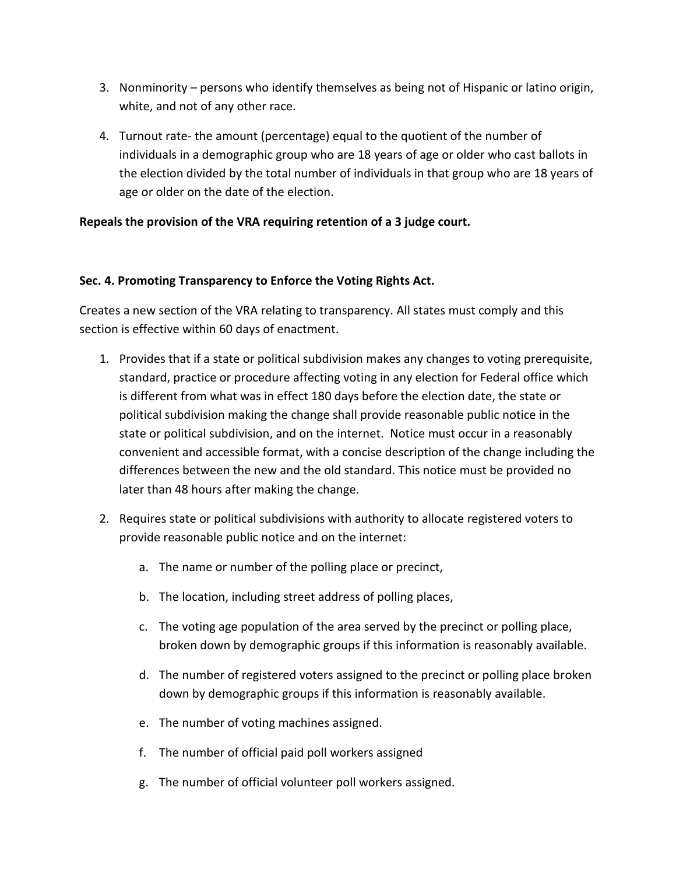- 3. Nonminority persons who identify themselves as being not of Hispanic or latino origin, white, and not of any other race.
- 4. Turnout rate- the amount (percentage) equal to the quotient of the number of individuals in a demographic group who are 18 years of age or older who cast ballots in the election divided by the total number of individuals in that group who are 18 years of age or older on the date of the election.

## **Repeals the provision of the VRA requiring retention of a 3 judge court.**

### **Sec. 4. Promoting Transparency to Enforce the Voting Rights Act.**

Creates a new section of the VRA relating to transparency. All states must comply and this section is effective within 60 days of enactment.

- 1. Provides that if a state or political subdivision makes any changes to voting prerequisite, standard, practice or procedure affecting voting in any election for Federal office which is different from what was in effect 180 days before the election date, the state or political subdivision making the change shall provide reasonable public notice in the state or political subdivision, and on the internet. Notice must occur in a reasonably convenient and accessible format, with a concise description of the change including the differences between the new and the old standard. This notice must be provided no later than 48 hours after making the change.
- 2. Requires state or political subdivisions with authority to allocate registered voters to provide reasonable public notice and on the internet:
	- a. The name or number of the polling place or precinct,
	- b. The location, including street address of polling places,
	- c. The voting age population of the area served by the precinct or polling place, broken down by demographic groups if this information is reasonably available.
	- d. The number of registered voters assigned to the precinct or polling place broken down by demographic groups if this information is reasonably available.
	- e. The number of voting machines assigned.
	- f. The number of official paid poll workers assigned
	- g. The number of official volunteer poll workers assigned.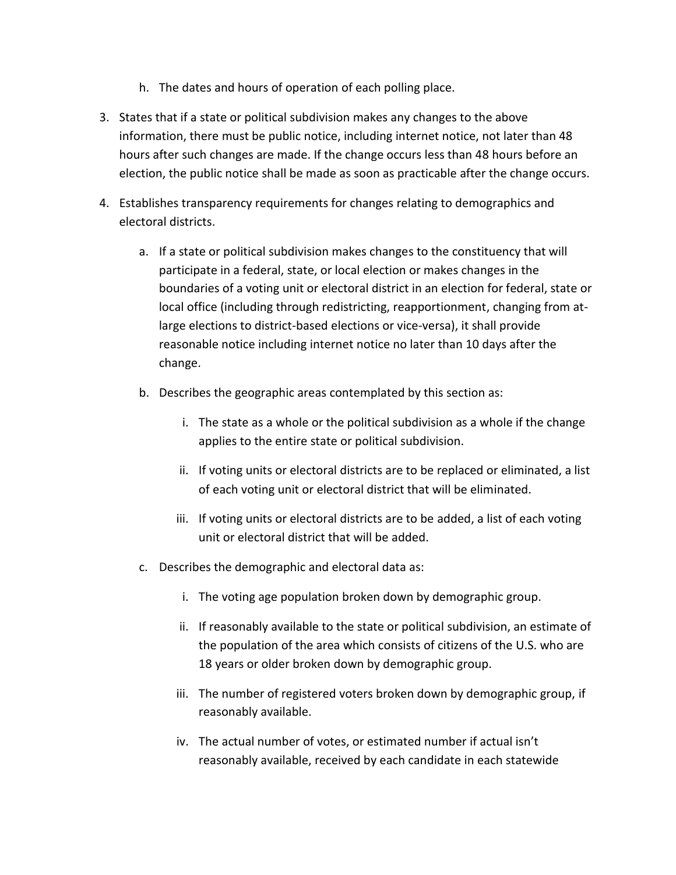- h. The dates and hours of operation of each polling place.
- 3. States that if a state or political subdivision makes any changes to the above information, there must be public notice, including internet notice, not later than 48 hours after such changes are made. If the change occurs less than 48 hours before an election, the public notice shall be made as soon as practicable after the change occurs.
- 4. Establishes transparency requirements for changes relating to demographics and electoral districts.
	- a. If a state or political subdivision makes changes to the constituency that will participate in a federal, state, or local election or makes changes in the boundaries of a voting unit or electoral district in an election for federal, state or local office (including through redistricting, reapportionment, changing from atlarge elections to district-based elections or vice-versa), it shall provide reasonable notice including internet notice no later than 10 days after the change.
	- b. Describes the geographic areas contemplated by this section as:
		- i. The state as a whole or the political subdivision as a whole if the change applies to the entire state or political subdivision.
		- ii. If voting units or electoral districts are to be replaced or eliminated, a list of each voting unit or electoral district that will be eliminated.
		- iii. If voting units or electoral districts are to be added, a list of each voting unit or electoral district that will be added.
	- c. Describes the demographic and electoral data as:
		- i. The voting age population broken down by demographic group.
		- ii. If reasonably available to the state or political subdivision, an estimate of the population of the area which consists of citizens of the U.S. who are 18 years or older broken down by demographic group.
		- iii. The number of registered voters broken down by demographic group, if reasonably available.
		- iv. The actual number of votes, or estimated number if actual isn't reasonably available, received by each candidate in each statewide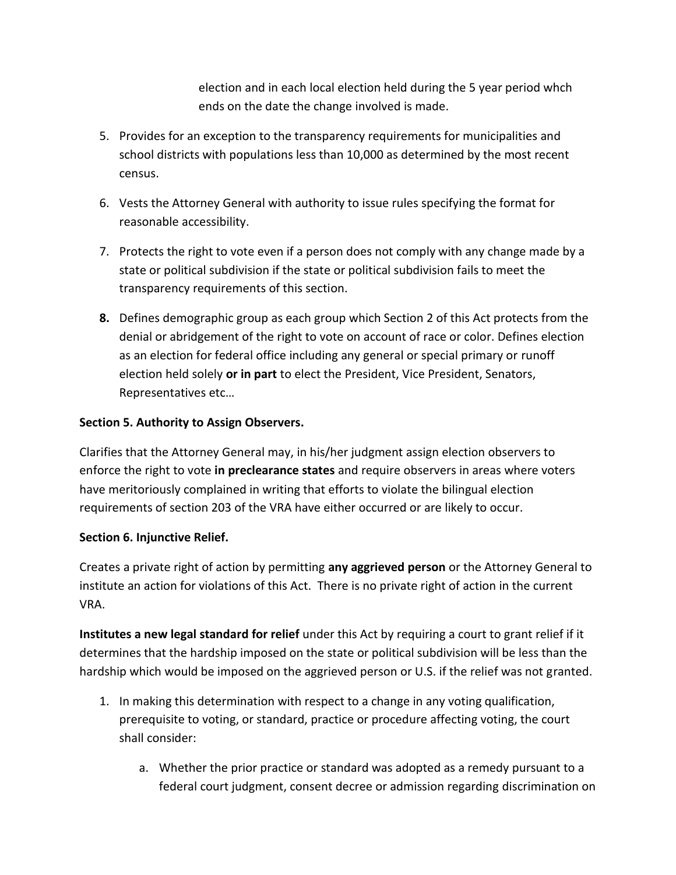election and in each local election held during the 5 year period whch ends on the date the change involved is made.

- 5. Provides for an exception to the transparency requirements for municipalities and school districts with populations less than 10,000 as determined by the most recent census.
- 6. Vests the Attorney General with authority to issue rules specifying the format for reasonable accessibility.
- 7. Protects the right to vote even if a person does not comply with any change made by a state or political subdivision if the state or political subdivision fails to meet the transparency requirements of this section.
- **8.** Defines demographic group as each group which Section 2 of this Act protects from the denial or abridgement of the right to vote on account of race or color. Defines election as an election for federal office including any general or special primary or runoff election held solely **or in part** to elect the President, Vice President, Senators, Representatives etc…

## **Section 5. Authority to Assign Observers.**

Clarifies that the Attorney General may, in his/her judgment assign election observers to enforce the right to vote **in preclearance states** and require observers in areas where voters have meritoriously complained in writing that efforts to violate the bilingual election requirements of section 203 of the VRA have either occurred or are likely to occur.

### **Section 6. Injunctive Relief.**

Creates a private right of action by permitting **any aggrieved person** or the Attorney General to institute an action for violations of this Act. There is no private right of action in the current VRA.

**Institutes a new legal standard for relief** under this Act by requiring a court to grant relief if it determines that the hardship imposed on the state or political subdivision will be less than the hardship which would be imposed on the aggrieved person or U.S. if the relief was not granted.

- 1. In making this determination with respect to a change in any voting qualification, prerequisite to voting, or standard, practice or procedure affecting voting, the court shall consider:
	- a. Whether the prior practice or standard was adopted as a remedy pursuant to a federal court judgment, consent decree or admission regarding discrimination on